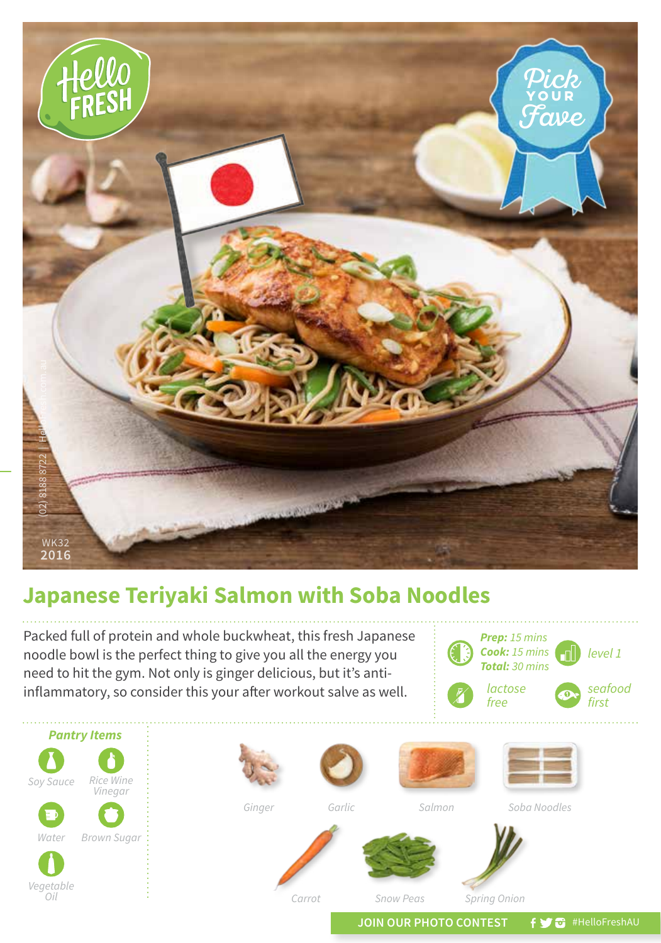

## **Japanese Teriyaki Salmon with Soba Noodles**

Packed full of protein and whole buckwheat, this fresh Japanese noodle bowl is the perfect thing to give you all the energy you need to hit the gym. Not only is ginger delicious, but it's antiinflammatory, so consider this your after workout salve as well.





JOIN OUR PHOTO CONTEST **f y** a #HelloFreshAU